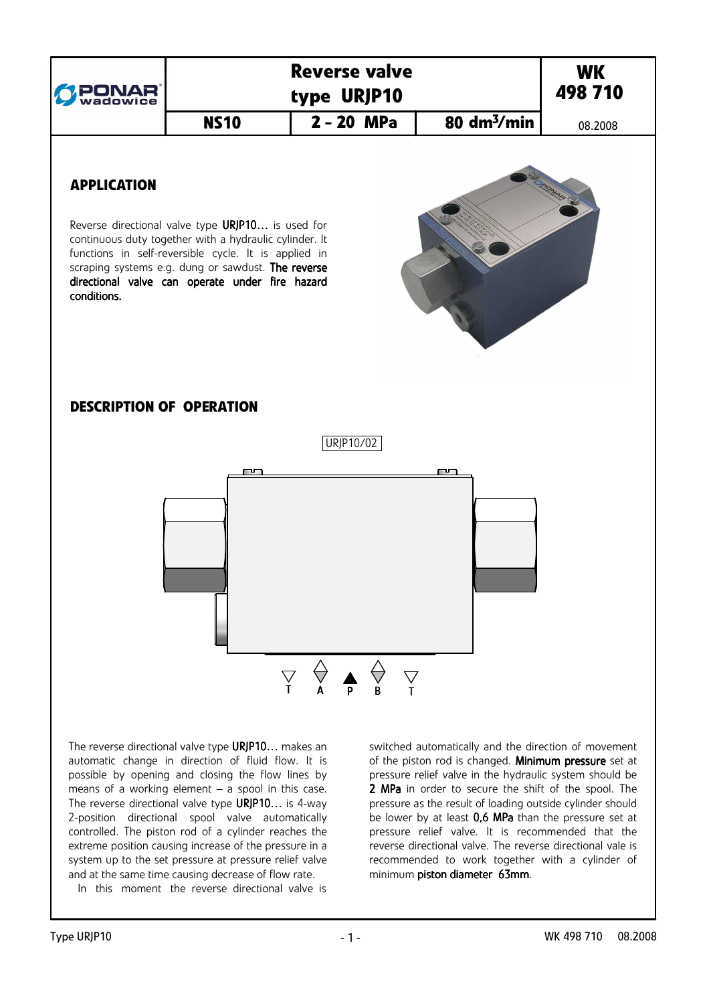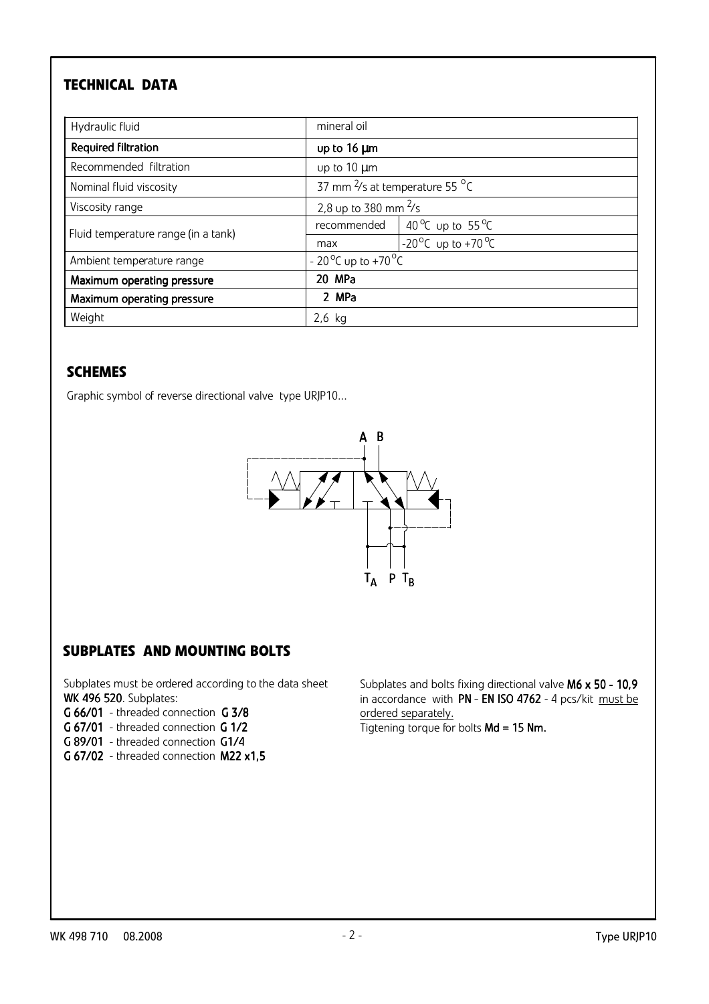# TECHNICAL DATA

| Hydraulic fluid                     | mineral oil                                  |                                                   |  |
|-------------------------------------|----------------------------------------------|---------------------------------------------------|--|
| Required filtration                 | up to 16 µm                                  |                                                   |  |
| Recommended filtration              | up to 10 µm                                  |                                                   |  |
| Nominal fluid viscosity             |                                              | 37 mm $\frac{2}{5}$ at temperature 55 $\degree$ C |  |
| Viscosity range                     | 2,8 up to 380 mm $\frac{2}{5}$               |                                                   |  |
| Fluid temperature range (in a tank) | recommended                                  | 40 <sup>o</sup> C up to 55 <sup>o</sup> C         |  |
|                                     | max                                          | -20 <sup>o</sup> C up to +70 <sup>o</sup> C       |  |
| Ambient temperature range           | - 20 <sup>o</sup> C up to +70 <sup>o</sup> C |                                                   |  |
| Maximum operating pressure          | 20 MPa                                       |                                                   |  |
| Maximum operating pressure          | 2 MPa                                        |                                                   |  |
| Weight                              | $2,6$ kg                                     |                                                   |  |

### **SCHEMES**

Graphic symbol of reverse directional valve type URJP10...



## SUBPLATES AND MOUNTING BOLTS

Subplates must be ordered according to the data sheet WK 496 520. Subplates:

- G 66/01 threaded connection G 3/8
- G 67/01 threaded connection G 1/2
- G 89/01 threaded connection G1/4
- G 67/02 threaded connection M22 x1,5

Subplates and bolts fixing directional valve M6 x 50 - 10,9 in accordance with PN - EN ISO 4762 - 4 pcs/kit must be ordered separately. Tigtening torque for bolts Md = 15 Nm.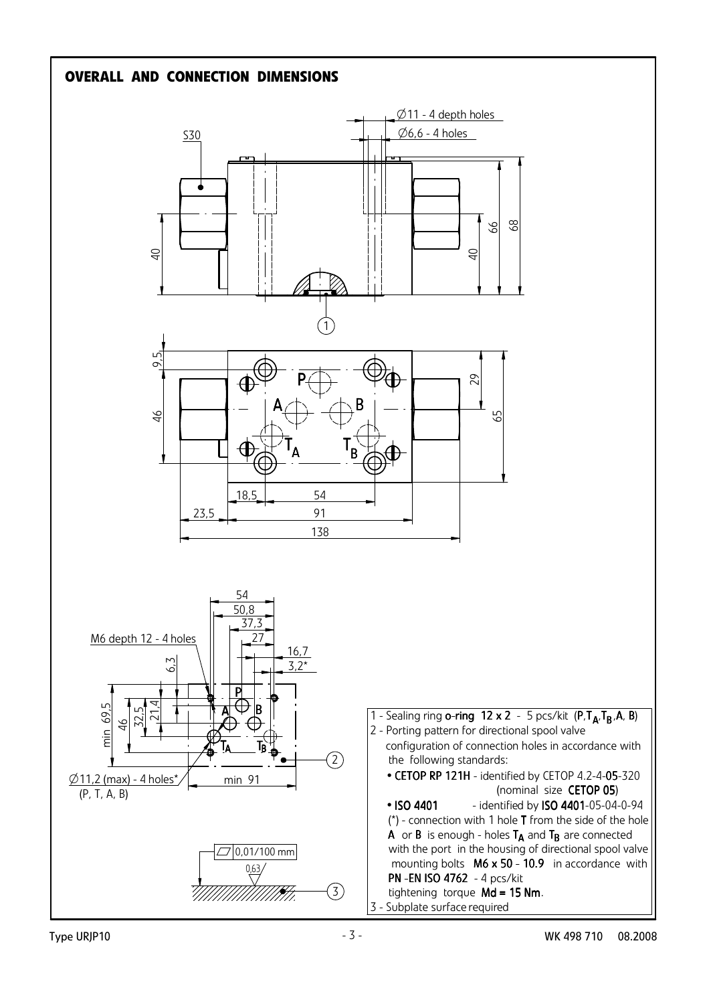